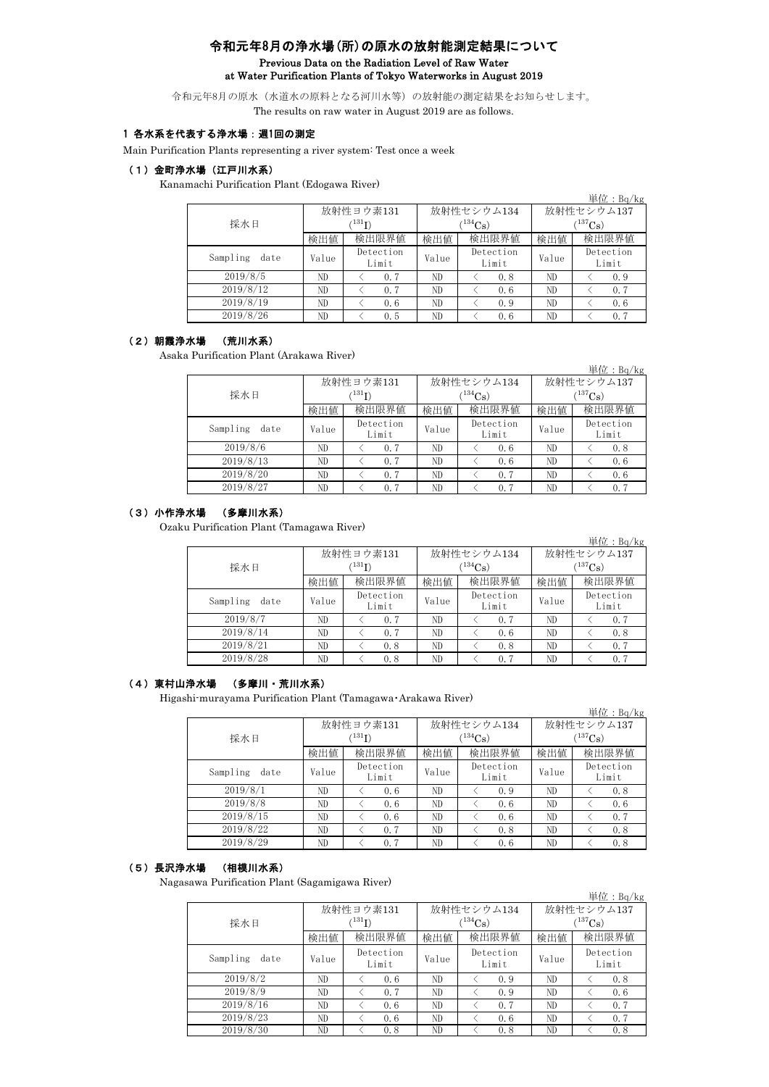# 令和元年8月の浄水場(所)の原水の放射能測定結果について Previous Data on the Radiation Level of Raw Water at Water Purification Plants of Tokyo Waterworks in August 2019

令和元年8月の原水(水道水の原料となる河川水等)の放射能の測定結果をお知らせします。 The results on raw water in August 2019 are as follows.

## 1 各水系を代表する浄水場:週1回の測定

Main Purification Plants representing a river system: Test once a week

#### (1)金町浄水場(江戸川水系)

Kanamachi Purification Plant (Edogawa River)

| $\cdots$         |       |                    |       |                    |                       |                    |  |
|------------------|-------|--------------------|-------|--------------------|-----------------------|--------------------|--|
|                  |       |                    |       |                    |                       | 単位: $Bq/kg$        |  |
|                  |       | 放射性ヨウ素131          |       | 放射性セシウム134         | 放射性セシウム137            |                    |  |
| 採水日              |       | $(^{131}I)$        |       | $(134)$ Cs)        | $(^{137}\mathrm{Cs})$ |                    |  |
|                  | 検出値   | 検出限界値              | 検出値   | 検出限界値              | 検出値                   | 検出限界値              |  |
| Sampling<br>date | Value | Detection<br>Limit | Value | Detection<br>Limit | Value                 | Detection<br>Limit |  |
| 2019/8/5         | ND    | 0.7                | ND    | 0.8                | ND                    | 0.9                |  |
| 2019/8/12        | ND    | 0.7                | ND    | 0.6                | ND                    | 0, 7               |  |
| 2019/8/19        | ND    | 0.6                | ND    | 0.9                | ND                    | 0.6                |  |
| 2019/8/26        | ND    | 0.5                | ND    | 0.6                | ND                    | 0.7                |  |

#### (2)朝霞浄水場 (荒川水系)

Asaka Purification Plant (Arakawa River)

|                  |       |                      |       |                          |                       | 単位: $Bq/kg$        |  |
|------------------|-------|----------------------|-------|--------------------------|-----------------------|--------------------|--|
|                  |       | 放射性ヨウ素131            |       | 放射性セシウム134               | 放射性セシウム137            |                    |  |
| 採水日              |       | $^{\prime131}\Gamma$ |       | $\rm \mathord{^{134}Cs}$ | $(^{137}\mathrm{Cs})$ |                    |  |
|                  | 検出値   | 検出限界値                | 検出値   | 検出限界値                    | 検出値                   | 検出限界値              |  |
| Sampling<br>date | Value | Detection<br>Limit   | Value | Detection<br>Limit       | Value                 | Detection<br>Limit |  |
| 2019/8/6         | ND    | 0.7                  | ND    | 0.6                      | ND                    | 0.8                |  |
| 2019/8/13        | ND    | 0.7                  | ND    | 0.6                      | ND                    | 0.6                |  |
| 2019/8/20        | ND    | 0.7                  | ND    | 0.7                      | ND                    | 0.6                |  |
| 2019/8/27        | ND    | 0.7                  | ND    | 0.7                      | ND                    | 0.7                |  |

## (3)小作浄水場 (多摩川水系)

Ozaku Purification Plant (Tamagawa River)

|                  |       |                    |              |                    |                       | 単位: $Bq/kg$        |  |  |
|------------------|-------|--------------------|--------------|--------------------|-----------------------|--------------------|--|--|
|                  |       | 放射性ヨウ素131          |              | 放射性セシウム134         | 放射性セシウム137            |                    |  |  |
| 採水日              |       | $(^{131}I)$        |              | $(134)$ Cs)        | $(^{137}\mathrm{Cs})$ |                    |  |  |
|                  | 検出値   | 検出限界値              | 検出限界値<br>検出値 |                    | 検出値                   | 検出限界値              |  |  |
| Sampling<br>date | Value | Detection<br>Limit | Value        | Detection<br>Limit | Value                 | Detection<br>Limit |  |  |
| 2019/8/7         | ND    | 0.7                | ND           | 0.7                | ND                    | 0.7                |  |  |
| 2019/8/14        | ND    | 0.7                | ND           | 0.6                | ND                    | 0.8                |  |  |
| 2019/8/21        | ND    | 0.8                | ND           | 0.8                | ND                    | 0, 7               |  |  |
| 2019/8/28        | ND    | 0.8                | ND           | 0.7                | ND                    | 0.7                |  |  |

## (4)東村山浄水場 (多摩川・荒川水系)

Higashi-murayama Purification Plant (Tamagawa・Arakawa River)

|                  |       |                                       |              |                           |                           | 早1 $\mathcal{L}$ : Bq/Kg |  |
|------------------|-------|---------------------------------------|--------------|---------------------------|---------------------------|--------------------------|--|
| 採水日              |       | 放射性ヨウ素131<br>$\rm \,{{}^{131}\Gamma}$ |              | 放射性セシウム134<br>$(134)$ Cs) | 放射性セシウム137<br>$(137)$ Cs) |                          |  |
|                  | 検出値   | 検出限界値                                 | 検出限界値<br>検出値 |                           | 検出値                       | 検出限界値                    |  |
| Sampling<br>date | Value | Detection<br>Limit                    | Value        | Detection<br>Limit        | Value                     | Detection<br>Limit       |  |
| 2019/8/1         | ND    | 0.6                                   | ND           | 0.9                       | ND                        | 0.8                      |  |
| 2019/8/8         | ND    | 0.6                                   | ND           | 0.6                       | ND                        | 0, 6                     |  |
| 2019/8/15        | ND    | 0.6                                   | ND           | 0.6                       | ND                        | 0, 7                     |  |
| 2019/8/22        | ND    | 0.7                                   | ND           | 0.8                       | ND                        | 0.8                      |  |
| 2019/8/29        | ND    | 0.7                                   | ND           | 0.6                       | ND                        | 0.8                      |  |

 $\overline{B}$ 

## (5)長沢浄水場 (相模川水系)

Nagasawa Purification Plant (Sagamigawa River)

|                  |       |                    |       |                    |                       | 単位: $Bq/kg$        |  |
|------------------|-------|--------------------|-------|--------------------|-----------------------|--------------------|--|
|                  |       | 放射性ヨウ素131          |       | 放射性セシウム134         | 放射性セシウム137            |                    |  |
| 採水日              |       | $\rm ^{(131}I)$    |       | $(134)$ Cs)        | $(^{137}\mathrm{Cs})$ |                    |  |
|                  | 検出値   | 検出限界値              | 検出値   | 検出限界値              | 検出値                   | 検出限界値              |  |
| Sampling<br>date | Value | Detection<br>Limit | Value | Detection<br>Limit | Value                 | Detection<br>Limit |  |
| 2019/8/2         | ND    | 0.6                | ND    | 0.9                | ND                    | 0.8                |  |
| 2019/8/9         | ND    | 0.7                | ND    | 0.9                | ND                    | 0.6                |  |
| 2019/8/16        | ND    | 0.6                | ND    | 0.7                | ND                    | 0.7                |  |
| 2019/8/23        | ND    | 0.6                | ND    | 0.6                | ND                    | 0, 7               |  |
| 2019/8/30        | ND    | 0.8                | ND    | 0.8                | ND                    | 0.8                |  |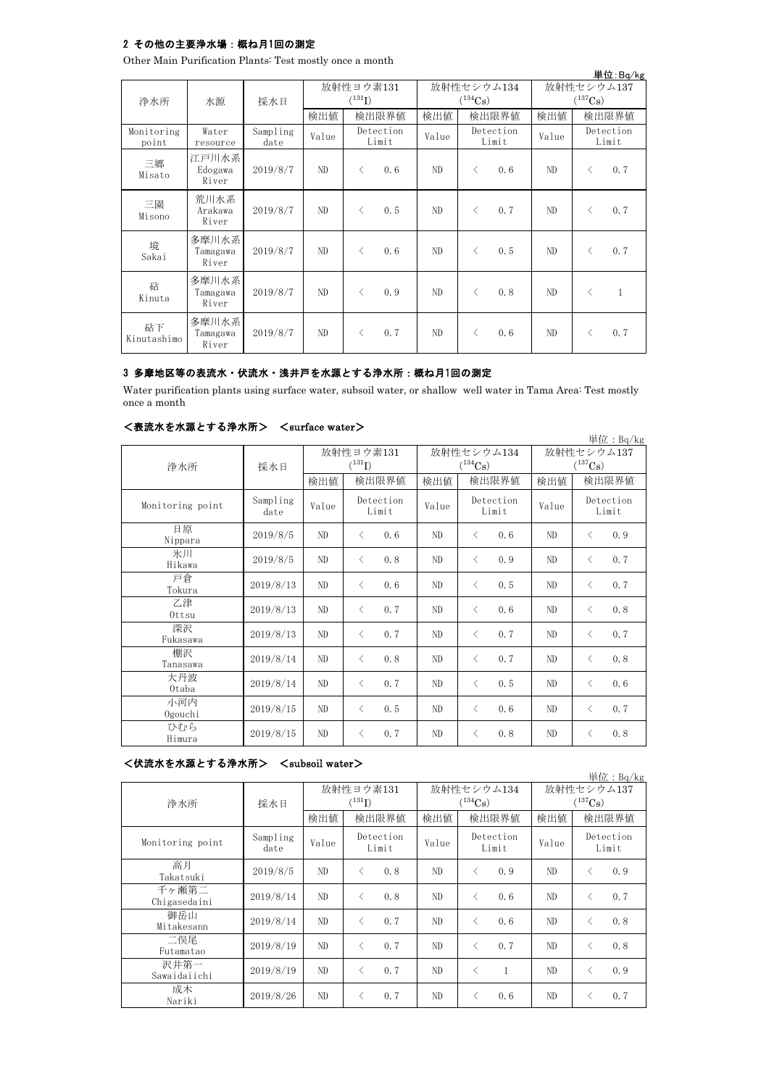## 2 その他の主要浄水場:概ね月1回の測定

Other Main Purification Plants: Test mostly once a month

|                     | 単位:Bq/kg                   |                  |                                   |                    |     |                            |           |                             |                                     |           |     |                    |
|---------------------|----------------------------|------------------|-----------------------------------|--------------------|-----|----------------------------|-----------|-----------------------------|-------------------------------------|-----------|-----|--------------------|
|                     |                            | 採水日              | 放射性ヨウ素131<br>$(^{131}\mathrm{I})$ |                    |     | 放射性セシウム134<br>$(^{134}Cs)$ |           |                             | 放射性セシウム137<br>$(^{137}\mathrm{Cs})$ |           |     |                    |
| 浄水所                 | 水源                         |                  | 検出値                               | 検出限界値              |     | 検出限界値<br>検出値               |           | 検出限界値<br>検出値                |                                     |           |     |                    |
| Monitoring<br>point | Water<br>resource          | Sampling<br>date | Value                             | Detection<br>Limit |     |                            |           | Detection<br>Value<br>Limit |                                     | Value     |     | Detection<br>Limit |
| 三郷<br>Misato        | 江戸川水系<br>Edogawa<br>River  | 2019/8/7         | ND.                               | $\langle$          | 0.6 | ND                         | $\langle$ | 0, 6                        | ND                                  | $\lt$     | 0.7 |                    |
| 三園<br>Misono        | 荒川水系<br>Arakawa<br>River   | 2019/8/7         | ND                                | $\langle$          | 0.5 | ND.                        | $\langle$ | 0.7                         | ND                                  | $\langle$ | 0.7 |                    |
| 境<br>Sakai          | 多摩川水系<br>Tamagawa<br>River | 2019/8/7         | ND.                               | $\langle$          | 0.6 | ND.                        | $\langle$ | 0.5                         | ND                                  | $\lt$     | 0.7 |                    |
| 砧<br>Kinuta         | 多摩川水系<br>Tamagawa<br>River | 2019/8/7         | ND                                | $\langle$          | 0.9 | ND.                        | $\langle$ | 0.8                         | ND                                  | $\lt$     | 1   |                    |
| 砧下<br>Kinutashimo   | 多摩川水系<br>Tamagawa<br>River | 2019/8/7         | ND.                               | $\langle$          | 0.7 | ND.                        | $\langle$ | 0, 6                        | ND                                  | $\lt$     | 0.7 |                    |

 $\ddot{B}$ 

### 3 多摩地区等の表流水・伏流水・浅井戸を水源とする浄水所:概ね月1回の測定

Water purification plants using surface water, subsoil water, or shallow well water in Tama Area: Test mostly once a month

### <表流水を水源とする浄水所> <surface water>

| 単位: $Bq/kg$      |                  |       |                    |       |                    |                       |                    |  |  |  |
|------------------|------------------|-------|--------------------|-------|--------------------|-----------------------|--------------------|--|--|--|
|                  |                  |       | 放射性ヨウ素131          |       | 放射性セシウム134         | 放射性セシウム137            |                    |  |  |  |
| 浄水所              | 採水日              |       | $(^{131}I)$        |       | $(^{134}Cs)$       | $(^{137}\mathrm{Cs})$ |                    |  |  |  |
|                  |                  | 検出値   | 検出限界値              | 検出値   | 検出限界値              | 検出値                   | 検出限界値              |  |  |  |
| Monitoring point | Sampling<br>date | Value | Detection<br>Limit | Value | Detection<br>Limit | Value                 | Detection<br>Limit |  |  |  |
| 日原<br>Nippara    | 2019/8/5         | ND    | 0.6<br>$\langle$   | ND    | 0.6<br>$\langle$   | ND                    | 0.9<br>$\lt$       |  |  |  |
| 氷川<br>Hikawa     | 2019/8/5         | ND    | 0.8<br>$\langle$   | ND    | $\langle$<br>0.9   | ND                    | 0, 7<br>$\lt$      |  |  |  |
| 戸倉<br>Tokura     | 2019/8/13        | ND    | 0.6<br>$\langle$   | ND    | 0.5<br>$\langle$   | ND                    | 0, 7<br>$\lt$      |  |  |  |
| 乙津<br>$0$ ttsu   | 2019/8/13        | ND    | $\langle$<br>0.7   | ND    | $\langle$<br>0.6   | ND                    | 0.8<br>$\langle$   |  |  |  |
| 深沢<br>Fukasawa   | 2019/8/13        | ND    | $\langle$<br>0.7   | ND    | $\langle$<br>0.7   | ND                    | 0, 7<br>$\lt$      |  |  |  |
| 棚沢<br>Tanasawa   | 2019/8/14        | ND    | 0.8<br>$\langle$   | ND    | $\langle$<br>0.7   | ND                    | 0.8<br>$\langle$   |  |  |  |
| 大丹波<br>Otaba     | 2019/8/14        | ND    | 0.7<br>$\langle$   | ND    | $\langle$<br>0.5   | ND                    | 0.6<br>$\lt$       |  |  |  |
| 小河内<br>Ogouchi   | 2019/8/15        | ND    | 0.5<br>$\langle$   | ND    | $\langle$<br>0, 6  | ND                    | 0.7<br>$\langle$   |  |  |  |
| ひむら<br>Himura    | 2019/8/15        | ND    | 0.7<br>$\langle$   | ND    | 0.8<br>$\langle$   | ND                    | 0.8<br>$\lt$       |  |  |  |

#### <伏流水を水源とする浄水所> <subsoil water>

単位:Bq/kg 検出値 検出限界値 検出値 教出限界値 検出値 Sampling date  $V$ alue  $V$ <sup>Detection</sup> Value  $V$ <sup>Detection</sup> Value 2019/8/5 ND  $\langle 0.8 | ND \rangle \langle 0.9 | ND \rangle$  $2019/8/14$  ND < 0.8 ND < 0.6 ND < 0.7  $2019/8/14$  ND < 0.7 ND < 0.6 ND < 0.8 2019/8/19 ND  $\langle 0.7 | N_{\text{D}} | \times 0.7 | N_{\text{D}} | \times 0.7 | N_{\text{D}} | \times 0.8$  $2019/8/19$  ND < 0.7 ND < 1 ND < 0.9  $2019/8/26$  ND < 0.7 ND < 0.6 ND < 0.7 成木 Nariki 御岳山 Mitakesann 二俣尾 Futamatao 放射性ヨウ素131  $(^{131}I)$ 放射性セシウム137  $(137)$ Cs) 放射性セシウム134  $(134)$ Cs) Detection Limit 検出限界値 検出限界値 検出限界値 Monitoring point Detection Limit Detection Limit 浄水所 採水日 沢井第一 Sawaidaiichi 高月 Takatsuki 千ヶ瀬第二 Chigasedaini